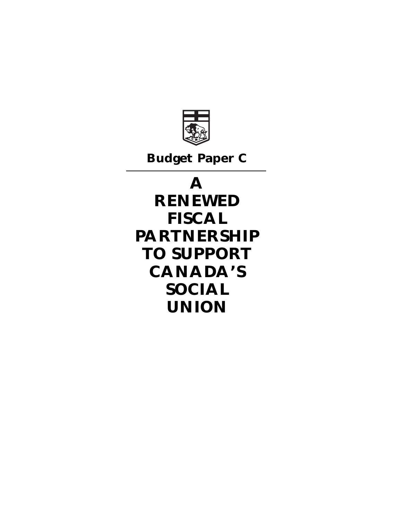

**Budget Paper C**

# **A**

**RENEWED FISCAL PARTNERSHIP TO SUPPORT CANADA'S SOCIAL UNION**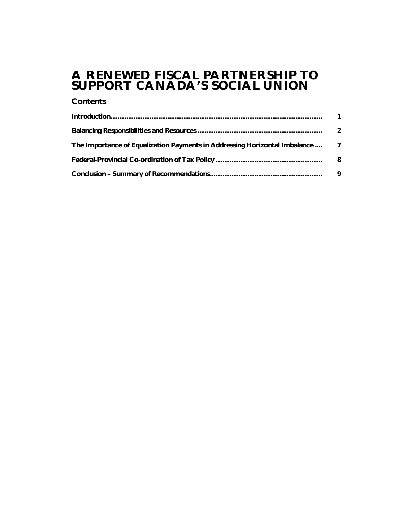# **A RENEWED FISCAL PARTNERSHIP TO SUPPORT CANADA'S SOCIAL UNION**

### **Contents**

|                                                                               | 2 |
|-------------------------------------------------------------------------------|---|
| The Importance of Equalization Payments in Addressing Horizontal Imbalance  7 |   |
|                                                                               | 8 |
|                                                                               | 9 |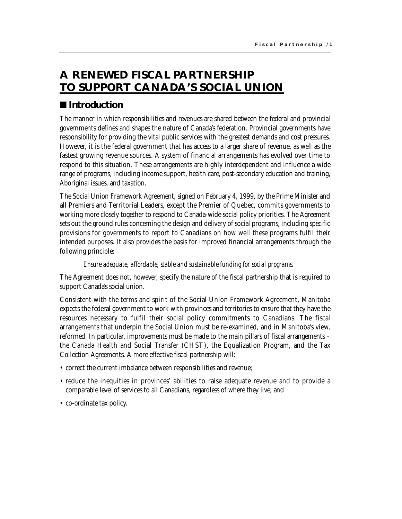# **A RENEWED FISCAL PARTNERSHIP TO SUPPORT CANADA'S SOCIAL UNION**

## $\blacksquare$  Introduction

The manner in which responsibilities and revenues are shared between the federal and provincial governments defines and shapes the nature of Canada's federation. Provincial governments have responsibility for providing the vital public services with the greatest demands and cost pressures. However, it is the federal government that has access to a larger share of revenue, as well as the fastest growing revenue sources. A system of financial arrangements has evolved over time to respond to this situation. These arrangements are highly interdependent and influence a wide range of programs, including income support, health care, post-secondary education and training, Aboriginal issues, and taxation.

The Social Union Framework Agreement, signed on February 4, 1999, by the Prime Minister and all Premiers and Territorial Leaders, except the Premier of Quebec, commits governments to working more closely together to respond to Canada-wide social policy priorities. The Agreement sets out the ground rules concerning the design and delivery of social programs, including specific provisions for governments to report to Canadians on how well these programs fulfil their intended purposes. It also provides the basis for improved financial arrangements through the following principle:

### *Ensure adequate, affordable, stable and sustainable funding for social programs.*

The Agreement does not, however, specify the nature of the fiscal partnership that is required to support Canada's social union.

Consistent with the terms and spirit of the Social Union Framework Agreement, Manitoba expects the federal government to work with provinces and territories to ensure that they have the resources necessary to fulfil their social policy commitments to Canadians. The fiscal arrangements that underpin the Social Union must be re-examined, and in Manitoba's view, reformed. In particular, improvements must be made to the main pillars of fiscal arrangements – the Canada Health and Social Transfer (CHST), the Equalization Program, and the Tax Collection Agreements. A more effective fiscal partnership will:

- correct the current imbalance between responsibilities and revenue;
- reduce the inequities in provinces' abilities to raise adequate revenue and to provide a comparable level of services to all Canadians, regardless of where they live; and
- co-ordinate tax policy.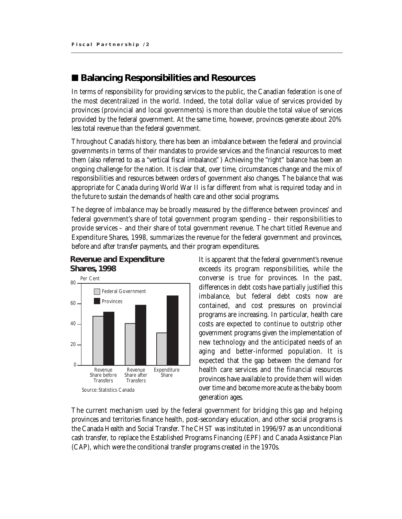## ■ Balancing Responsibilities and Resources

In terms of responsibility for providing services to the public, the Canadian federation is one of the most decentralized in the world. Indeed, the total dollar value of services provided by provinces (provincial and local governments) is more than double the total value of services provided by the federal government. At the same time, however, provinces generate about 20% less total revenue than the federal government.

Throughout Canada's history, there has been an imbalance between the federal and provincial governments in terms of their mandates to provide services and the financial resources to meet them (also referred to as a "vertical fiscal imbalance." ) Achieving the "right" balance has been an ongoing challenge for the nation. It is clear that, over time, circumstances change and the mix of responsibilities and resources between orders of government also changes. The balance that was appropriate for Canada during World War II is far different from what is required today and in the future to sustain the demands of health care and other social programs.

The degree of imbalance may be broadly measured by the difference between provinces' and federal government's share of total government program spending – their responsibilities to provide services – and their share of total government revenue. The chart titled Revenue and Expenditure Shares, 1998, summarizes the revenue for the federal government and provinces, before and after transfer payments, and their program expenditures.



#### **Revenue and Expenditure Shares, 1998**

It is apparent that the federal government's revenue exceeds its program responsibilities, while the converse is true for provinces. In the past, differences in debt costs have partially justified this imbalance, but federal debt costs now are contained, and cost pressures on provincial programs are increasing. In particular, health care costs are expected to continue to outstrip other government programs given the implementation of new technology and the anticipated needs of an aging and better-informed population. It is expected that the gap between the demand for health care services and the financial resources provinces have available to provide them will widen over time and become more acute as the baby boom generation ages.

The current mechanism used by the federal government for bridging this gap and helping provinces and territories finance health, post-secondary education, and other social programs is the Canada Health and Social Transfer. The CHST was instituted in 1996/97 as an unconditional cash transfer, to replace the Established Programs Financing (EPF) and Canada Assistance Plan (CAP), which were the conditional transfer programs created in the 1970s.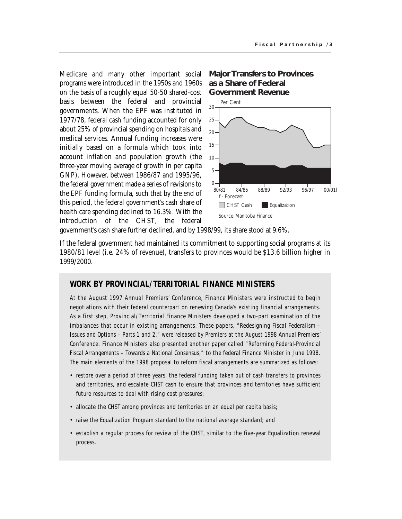Medicare and many other important social programs were introduced in the 1950s and 1960s on the basis of a roughly equal 50-50 shared-cost basis between the federal and provincial governments. When the EPF was instituted in 1977/78, federal cash funding accounted for only about 25% of provincial spending on hospitals and medical services. Annual funding increases were initially based on a formula which took into account inflation and population growth (the three-year moving average of growth in per capita GNP). However, between 1986/87 and 1995/96, the federal government made a series of revisions to the EPF funding formula, such that by the end of this period, the federal government's cash share of health care spending declined to 16.3%. With the introduction of the CHST, the federal

#### **Major Transfers to Provinces as a Share of Federal Government Revenue**



government's cash share further declined, and by 1998/99, its share stood at 9.6%.

If the federal government had maintained its commitment to supporting social programs at its 1980/81 level (i.e. 24% of revenue), transfers to provinces would be \$13.6 billion higher in 1999/2000.

#### **WORK BY PROVINCIAL/TERRITORIAL FINANCE MINISTERS**

At the August 1997 Annual Premiers' Conference, Finance Ministers were instructed to begin negotiations with their federal counterpart on renewing Canada's existing financial arrangements. As a first step, Provincial/Territorial Finance Ministers developed a two-part examination of the imbalances that occur in existing arrangements. These papers, *"Redesigning Fiscal Federalism – Issues and Options – Parts 1 and 2,"* were released by Premiers at the August 1998 Annual Premiers' Conference. Finance Ministers also presented another paper called *"Reforming Federal-Provincial Fiscal Arrangements – Towards a National Consensus,"* to the federal Finance Minister in June 1998. The main elements of the 1998 proposal to reform fiscal arrangements are summarized as follows:

- restore over a period of three years, the federal funding taken out of cash transfers to provinces and territories, and escalate CHST cash to ensure that provinces and territories have sufficient future resources to deal with rising cost pressures;
- allocate the CHST among provinces and territories on an equal per capita basis;
- raise the Equalization Program standard to the national average standard; and
- establish a regular process for review of the CHST, similar to the five-year Equalization renewal process.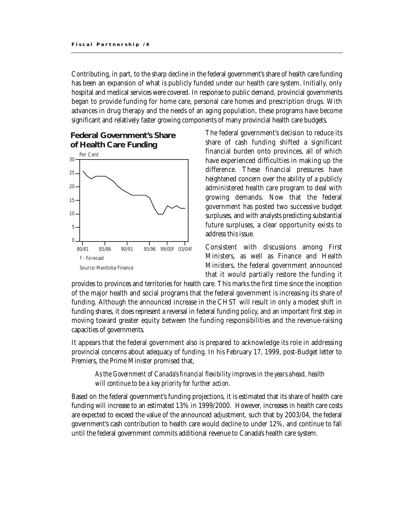Contributing, in part, to the sharp decline in the federal government's share of health care funding has been an expansion of what is publicly funded under our health care system. Initially, only hospital and medical services were covered. In response to public demand, provincial governments began to provide funding for home care, personal care homes and prescription drugs. With advances in drug therapy and the needs of an aging population, these programs have become significant and relatively faster growing components of many provincial health care budgets.

### **Federal Government's Share of Health Care Funding**



The federal government's decision to reduce its share of cash funding shifted a significant financial burden onto provinces, all of which have experienced difficulties in making up the difference. These financial pressures have heightened concern over the ability of a publicly administered health care program to deal with growing demands. Now that the federal government has posted two successive budget surpluses, and with analysts predicting substantial future surpluses, a clear opportunity exists to address this issue.

Consistent with discussions among First Ministers, as well as Finance and Health Ministers, the federal government announced that it would partially restore the funding it

provides to provinces and territories for health care. This marks the first time since the inception of the major health and social programs that the federal government is increasing its share of funding. Although the announced increase in the CHST will result in only a modest shift in funding shares, it does represent a reversal in federal funding policy, and an important first step in moving toward greater equity between the funding responsibilities and the revenue-raising capacities of governments.

It appears that the federal government also is prepared to acknowledge its role in addressing provincial concerns about adequacy of funding. In his February 17, 1999, post-Budget letter to Premiers, the Prime Minister promised that,

#### *As the Government of Canada's financial flexibility improves in the years ahead, health will continue to be a key priority for further action.*

Based on the federal government's funding projections, it is estimated that its share of health care funding will increase to an estimated 13% in 1999/2000. However, increases in health care costs are expected to exceed the value of the announced adjustment, such that by 2003/04, the federal government's cash contribution to health care would decline to under 12%, and continue to fall until the federal government commits additional revenue to Canada's health care system.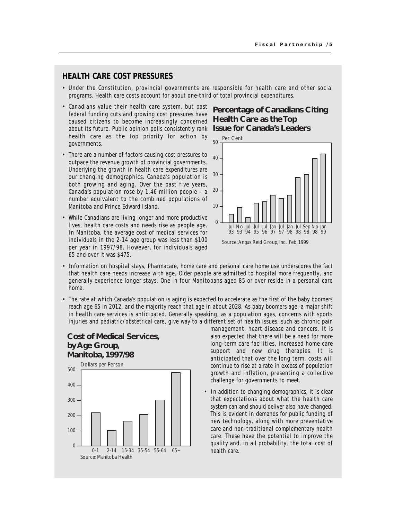#### **HEALTH CARE COST PRESSURES**

- Under the Constitution, provincial governments are responsible for health care and other social programs. Health care costs account for about one-third of total provincial expenditures.
- Canadians value their health care system, but past federal funding cuts and growing cost pressures have caused citizens to become increasingly concerned about its future. Public opinion polls consistently rank **Issue for Canada's Leaders** health care as the top priority for action by governments.
- There are a number of factors causing cost pressures to outpace the revenue growth of provincial governments. Underlying the growth in health care expenditures are our changing demographics. Canada's population is both growing and aging. Over the past five years, Canada's population rose by 1.46 million people – a number equivalent to the combined populations of Manitoba and Prince Edward Island.
- While Canadians are living longer and more productive lives, health care costs and needs rise as people age. In Manitoba, the average cost of medical services for individuals in the 2-14 age group was less than \$100 per year in 1997/98. However, for individuals aged 65 and over it was \$475.

# **Percentage of Canadians Citing Health Care as the Top**



- Information on hospital stays, Pharmacare, home care and personal care home use underscores the fact that health care needs increase with age. Older people are admitted to hospital more frequently, and generally experience longer stays. One in four Manitobans aged 85 or over reside in a personal care home.
- The rate at which Canada's population is aging is expected to accelerate as the first of the baby boomers reach age 65 in 2012, and the majority reach that age in about 2028. As baby boomers age, a major shift in health care services is anticipated. Generally speaking, as a population ages, concerns with sports injuries and pediatric/obstetrical care, give way to a different set of health issues, such as chronic pain

#### **Cost of Medical Services, by Age Group, Manitoba, 1997/98**



management, heart disease and cancers. It is also expected that there will be a need for more long-term care facilities, increased home care support and new drug therapies. It is anticipated that over the long term, costs will continue to rise at a rate in excess of population growth and inflation, presenting a collective challenge for governments to meet.

• In addition to changing demographics, it is clear that expectations about what the health care system can and should deliver also have changed. This is evident in demands for public funding of new technology, along with more preventative care and non-traditional complementary health care. These have the potential to improve the quality and, in all probability, the total cost of health care.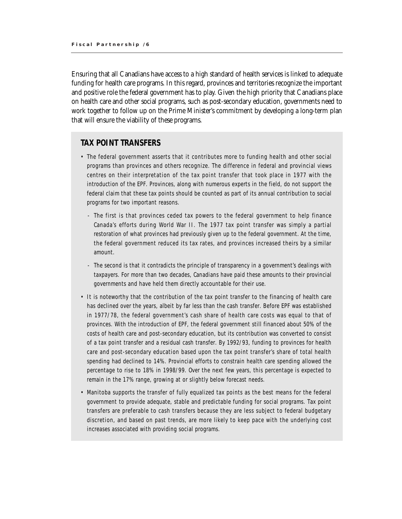Ensuring that all Canadians have access to a high standard of health services is linked to adequate funding for health care programs. In this regard, provinces and territories recognize the important and positive role the federal government has to play. Given the high priority that Canadians place on health care and other social programs, such as post-secondary education, governments need to work together to follow up on the Prime Minister's commitment by developing a long-term plan that will ensure the viability of these programs.

#### **TAX POINT TRANSFERS**

- The federal government asserts that it contributes more to funding health and other social programs than provinces and others recognize. The difference in federal and provincial views centres on their interpretation of the tax point transfer that took place in 1977 with the introduction of the EPF. Provinces, along with numerous experts in the field, do not support the federal claim that these tax points should be counted as part of its annual contribution to social programs for two important reasons.
	- The first is that provinces ceded tax powers to the federal government to help finance Canada's efforts during World War II. The 1977 tax point transfer was simply a partial restoration of what provinces had previously given up to the federal government. At the time, the federal government reduced its tax rates, and provinces increased theirs by a similar amount.
	- The second is that it contradicts the principle of transparency in a government's dealings with taxpayers. For more than two decades, Canadians have paid these amounts to their provincial governments and have held them directly accountable for their use.
- It is noteworthy that the contribution of the tax point transfer to the financing of health care has declined over the years, albeit by far less than the cash transfer. Before EPF was established in 1977/78, the federal government's cash share of health care costs was equal to that of provinces. With the introduction of EPF, the federal government still financed about 50% of the costs of health care and post-secondary education, but its contribution was converted to consist of a tax point transfer and a residual cash transfer. By 1992/93, funding to provinces for health care and post-secondary education based upon the tax point transfer's share of total health spending had declined to 14%. Provincial efforts to constrain health care spending allowed the percentage to rise to 18% in 1998/99. Over the next few years, this percentage is expected to remain in the 17% range, growing at or slightly below forecast needs.
- Manitoba supports the transfer of fully equalized tax points as the best means for the federal government to provide adequate, stable and predictable funding for social programs. Tax point transfers are preferable to cash transfers because they are less subject to federal budgetary discretion, and based on past trends, are more likely to keep pace with the underlying cost increases associated with providing social programs.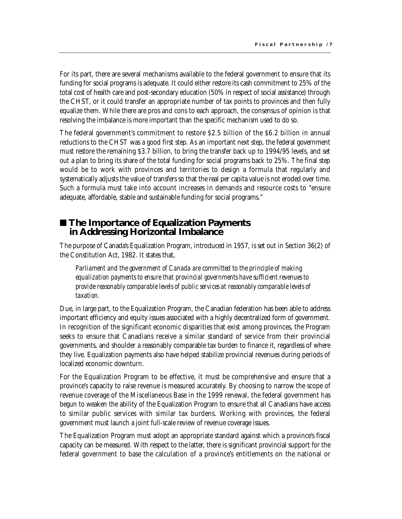For its part, there are several mechanisms available to the federal government to ensure that its funding for social programs is adequate. It could either restore its cash commitment to 25% of the total cost of health care and post-secondary education (50% in respect of social assistance) through the CHST, or it could transfer an appropriate number of tax points to provinces and then fully equalize them. While there are pros and cons to each approach, the consensus of opinion is that resolving the imbalance is more important than the specific mechanism used to do so.

The federal government's commitment to restore \$2.5 billion of the \$6.2 billion in annual reductions to the CHST was a good first step. As an important next step, the federal government must restore the remaining \$3.7 billion, to bring the transfer back up to 1994/95 levels, and set out a plan to bring its share of the total funding for social programs back to 25%. The final step would be to work with provinces and territories to design a formula that regularly and systematically adjusts the value of transfers so that the real per capita value is not eroded over time. Such a formula must take into account increases in demands and resource costs to "ensure adequate, affordable, stable and sustainable funding for social programs."

### ■ The Importance of Equalization Payments **in Addressing Horizontal Imbalance**

The purpose of Canada's Equalization Program, introduced in 1957, is set out in Section 36(2) of the Constitution Act, 1982. It states that,

*Parliament and the government of Canada are committed to the principle of making equalization payments to ensure that provincial governments have sufficient revenues to provide reasonably comparable levels of public services at reasonably comparable levels of taxation.*

Due, in large part, to the Equalization Program, the Canadian federation has been able to address important efficiency and equity issues associated with a highly decentralized form of government. In recognition of the significant economic disparities that exist among provinces, the Program seeks to ensure that Canadians receive a similar standard of service from their provincial governments, and shoulder a reasonably comparable tax burden to finance it, regardless of where they live. Equalization payments also have helped stabilize provincial revenues during periods of localized economic downturn.

For the Equalization Program to be effective, it must be comprehensive and ensure that a province's capacity to raise revenue is measured accurately. By choosing to narrow the scope of revenue coverage of the Miscellaneous Base in the 1999 renewal, the federal government has begun to weaken the ability of the Equalization Program to ensure that all Canadians have access to similar public services with similar tax burdens. Working with provinces, the federal government must launch a joint full-scale review of revenue coverage issues.

The Equalization Program must adopt an appropriate standard against which a province's fiscal capacity can be measured. With respect to the latter, there is significant provincial support for the federal government to base the calculation of a province's entitlements on the national or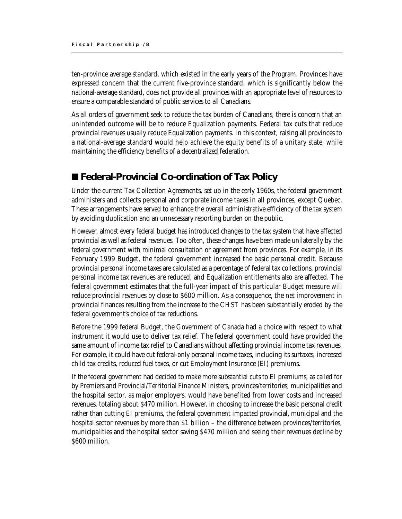ten-province average standard, which existed in the early years of the Program. Provinces have expressed concern that the current five-province standard, which is significantly below the national-average standard, does not provide all provinces with an appropriate level of resources to ensure a comparable standard of public services to all Canadians.

As all orders of government seek to reduce the tax burden of Canadians, there is concern that an unintended outcome will be to reduce Equalization payments. Federal tax cuts that reduce provincial revenues usually reduce Equalization payments. In this context, raising all provinces to a national-average standard would help achieve the equity benefits of a unitary state, while maintaining the efficiency benefits of a decentralized federation.

## ■ Federal-Provincial Co-ordination of Tax Policy

Under the current Tax Collection Agreements, set up in the early 1960s, the federal government administers and collects personal and corporate income taxes in all provinces, except Quebec. These arrangements have served to enhance the overall administrative efficiency of the tax system by avoiding duplication and an unnecessary reporting burden on the public.

However, almost every federal budget has introduced changes to the tax system that have affected provincial as well as federal revenues. Too often, these changes have been made unilaterally by the federal government with minimal consultation or agreement from provinces. For example, in its February 1999 Budget, the federal government increased the basic personal credit. Because provincial personal income taxes are calculated as a percentage of federal tax collections, provincial personal income tax revenues are reduced, and Equalization entitlements also are affected. The federal government estimates that the full-year impact of this particular Budget measure will reduce provincial revenues by close to \$600 million. As a consequence, the net improvement in provincial finances resulting from the increase to the CHST has been substantially eroded by the federal government's choice of tax reductions.

Before the 1999 federal Budget, the Government of Canada had a choice with respect to what instrument it would use to deliver tax relief. The federal government could have provided the same amount of income tax relief to Canadians without affecting provincial income tax revenues. For example, it could have cut federal-only personal income taxes, including its surtaxes, increased child tax credits, reduced fuel taxes, or cut Employment Insurance (EI) premiums.

If the federal government had decided to make more substantial cuts to EI premiums, as called for by Premiers and Provincial/Territorial Finance Ministers, provinces/territories, municipalities and the hospital sector, as major employers, would have benefited from lower costs and increased revenues, totaling about \$470 million. However, in choosing to increase the basic personal credit rather than cutting EI premiums, the federal government impacted provincial, municipal and the hospital sector revenues by more than \$1 billion – the difference between provinces/territories, municipalities and the hospital sector saving \$470 million and seeing their revenues decline by \$600 million.